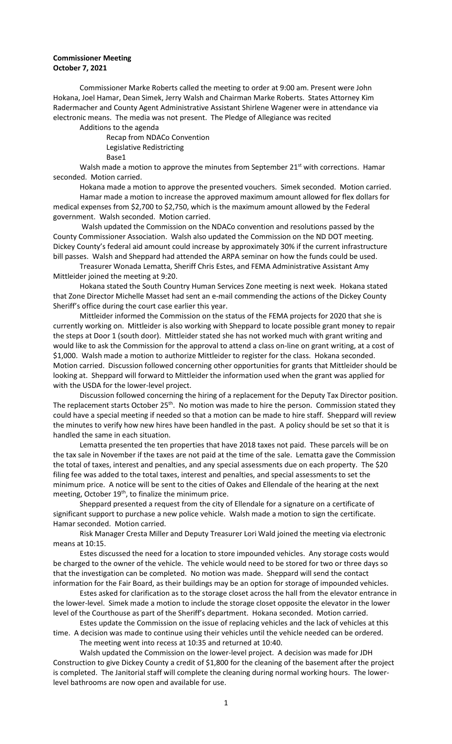## **Commissioner Meeting October 7, 2021**

Commissioner Marke Roberts called the meeting to order at 9:00 am. Present were John Hokana, Joel Hamar, Dean Simek, Jerry Walsh and Chairman Marke Roberts. States Attorney Kim Radermacher and County Agent Administrative Assistant Shirlene Wagener were in attendance via electronic means. The media was not present. The Pledge of Allegiance was recited Additions to the agenda

Recap from NDACo Convention Legislative Redistricting Base1

Walsh made a motion to approve the minutes from September  $21^{st}$  with corrections. Hamar seconded. Motion carried.

Hokana made a motion to approve the presented vouchers. Simek seconded. Motion carried. Hamar made a motion to increase the approved maximum amount allowed for flex dollars for medical expenses from \$2,700 to \$2,750, which is the maximum amount allowed by the Federal government. Walsh seconded. Motion carried.

Walsh updated the Commission on the NDACo convention and resolutions passed by the County Commissioner Association. Walsh also updated the Commission on the ND DOT meeting. Dickey County's federal aid amount could increase by approximately 30% if the current infrastructure bill passes. Walsh and Sheppard had attended the ARPA seminar on how the funds could be used.

Treasurer Wonada Lematta, Sheriff Chris Estes, and FEMA Administrative Assistant Amy Mittleider joined the meeting at 9:20.

Hokana stated the South Country Human Services Zone meeting is next week. Hokana stated that Zone Director Michelle Masset had sent an e-mail commending the actions of the Dickey County Sheriff's office during the court case earlier this year.

Mittleider informed the Commission on the status of the FEMA projects for 2020 that she is currently working on. Mittleider is also working with Sheppard to locate possible grant money to repair the steps at Door 1 (south door). Mittleider stated she has not worked much with grant writing and would like to ask the Commission for the approval to attend a class on-line on grant writing, at a cost of \$1,000. Walsh made a motion to authorize Mittleider to register for the class. Hokana seconded. Motion carried. Discussion followed concerning other opportunities for grants that Mittleider should be looking at. Sheppard will forward to Mittleider the information used when the grant was applied for with the USDA for the lower-level project.

Discussion followed concerning the hiring of a replacement for the Deputy Tax Director position. The replacement starts October 25<sup>th</sup>. No motion was made to hire the person. Commission stated they could have a special meeting if needed so that a motion can be made to hire staff. Sheppard will review the minutes to verify how new hires have been handled in the past. A policy should be set so that it is handled the same in each situation.

Lematta presented the ten properties that have 2018 taxes not paid. These parcels will be on the tax sale in November if the taxes are not paid at the time of the sale. Lematta gave the Commission the total of taxes, interest and penalties, and any special assessments due on each property. The \$20 filing fee was added to the total taxes, interest and penalties, and special assessments to set the minimum price. A notice will be sent to the cities of Oakes and Ellendale of the hearing at the next meeting, October 19<sup>th</sup>, to finalize the minimum price.

Sheppard presented a request from the city of Ellendale for a signature on a certificate of significant support to purchase a new police vehicle. Walsh made a motion to sign the certificate. Hamar seconded. Motion carried.

Risk Manager Cresta Miller and Deputy Treasurer Lori Wald joined the meeting via electronic means at 10:15.

Estes discussed the need for a location to store impounded vehicles. Any storage costs would be charged to the owner of the vehicle. The vehicle would need to be stored for two or three days so that the investigation can be completed. No motion was made. Sheppard will send the contact information for the Fair Board, as their buildings may be an option for storage of impounded vehicles.

Estes asked for clarification as to the storage closet across the hall from the elevator entrance in the lower-level. Simek made a motion to include the storage closet opposite the elevator in the lower level of the Courthouse as part of the Sheriff's department. Hokana seconded. Motion carried.

Estes update the Commission on the issue of replacing vehicles and the lack of vehicles at this time. A decision was made to continue using their vehicles until the vehicle needed can be ordered. The meeting went into recess at 10:35 and returned at 10:40.

Walsh updated the Commission on the lower-level project. A decision was made for JDH Construction to give Dickey County a credit of \$1,800 for the cleaning of the basement after the project is completed. The Janitorial staff will complete the cleaning during normal working hours. The lowerlevel bathrooms are now open and available for use.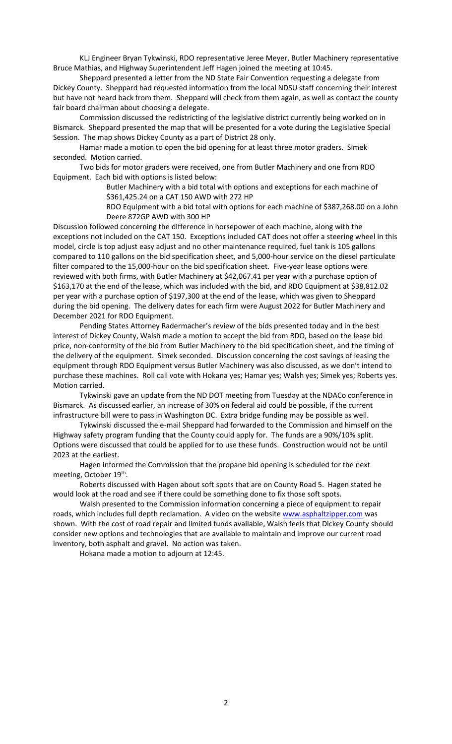KLJ Engineer Bryan Tykwinski, RDO representative Jeree Meyer, Butler Machinery representative Bruce Mathias, and Highway Superintendent Jeff Hagen joined the meeting at 10:45.

Sheppard presented a letter from the ND State Fair Convention requesting a delegate from Dickey County. Sheppard had requested information from the local NDSU staff concerning their interest but have not heard back from them. Sheppard will check from them again, as well as contact the county fair board chairman about choosing a delegate.

Commission discussed the redistricting of the legislative district currently being worked on in Bismarck. Sheppard presented the map that will be presented for a vote during the Legislative Special Session. The map shows Dickey County as a part of District 28 only.

Hamar made a motion to open the bid opening for at least three motor graders. Simek seconded. Motion carried.

Two bids for motor graders were received, one from Butler Machinery and one from RDO Equipment. Each bid with options is listed below:

> Butler Machinery with a bid total with options and exceptions for each machine of \$361,425.24 on a CAT 150 AWD with 272 HP

RDO Equipment with a bid total with options for each machine of \$387,268.00 on a John Deere 872GP AWD with 300 HP

Discussion followed concerning the difference in horsepower of each machine, along with the exceptions not included on the CAT 150. Exceptions included CAT does not offer a steering wheel in this model, circle is top adjust easy adjust and no other maintenance required, fuel tank is 105 gallons compared to 110 gallons on the bid specification sheet, and 5,000-hour service on the diesel particulate filter compared to the 15,000-hour on the bid specification sheet. Five-year lease options were reviewed with both firms, with Butler Machinery at \$42,067.41 per year with a purchase option of \$163,170 at the end of the lease, which was included with the bid, and RDO Equipment at \$38,812.02 per year with a purchase option of \$197,300 at the end of the lease, which was given to Sheppard during the bid opening. The delivery dates for each firm were August 2022 for Butler Machinery and December 2021 for RDO Equipment.

Pending States Attorney Radermacher's review of the bids presented today and in the best interest of Dickey County, Walsh made a motion to accept the bid from RDO, based on the lease bid price, non-conformity of the bid from Butler Machinery to the bid specification sheet, and the timing of the delivery of the equipment. Simek seconded. Discussion concerning the cost savings of leasing the equipment through RDO Equipment versus Butler Machinery was also discussed, as we don't intend to purchase these machines. Roll call vote with Hokana yes; Hamar yes; Walsh yes; Simek yes; Roberts yes. Motion carried.

Tykwinski gave an update from the ND DOT meeting from Tuesday at the NDACo conference in Bismarck. As discussed earlier, an increase of 30% on federal aid could be possible, if the current infrastructure bill were to pass in Washington DC. Extra bridge funding may be possible as well.

Tykwinski discussed the e-mail Sheppard had forwarded to the Commission and himself on the Highway safety program funding that the County could apply for. The funds are a 90%/10% split. Options were discussed that could be applied for to use these funds. Construction would not be until 2023 at the earliest.

Hagen informed the Commission that the propane bid opening is scheduled for the next meeting, October 19<sup>th</sup>.

Roberts discussed with Hagen about soft spots that are on County Road 5. Hagen stated he would look at the road and see if there could be something done to fix those soft spots.

Walsh presented to the Commission information concerning a piece of equipment to repair roads, which includes full depth reclamation. A video on the websit[e www.asphaltzipper.com](http://www.asphaltzipper.com/) was shown. With the cost of road repair and limited funds available, Walsh feels that Dickey County should consider new options and technologies that are available to maintain and improve our current road inventory, both asphalt and gravel. No action was taken.

Hokana made a motion to adjourn at 12:45.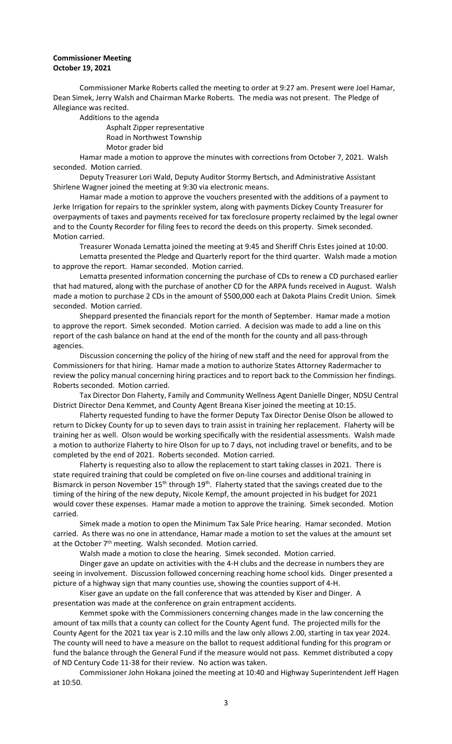## **Commissioner Meeting October 19, 2021**

Commissioner Marke Roberts called the meeting to order at 9:27 am. Present were Joel Hamar, Dean Simek, Jerry Walsh and Chairman Marke Roberts. The media was not present. The Pledge of Allegiance was recited.

Additions to the agenda Asphalt Zipper representative Road in Northwest Township Motor grader bid

Hamar made a motion to approve the minutes with corrections from October 7, 2021. Walsh seconded. Motion carried.

Deputy Treasurer Lori Wald, Deputy Auditor Stormy Bertsch, and Administrative Assistant Shirlene Wagner joined the meeting at 9:30 via electronic means.

Hamar made a motion to approve the vouchers presented with the additions of a payment to Jerke Irrigation for repairs to the sprinkler system, along with payments Dickey County Treasurer for overpayments of taxes and payments received for tax foreclosure property reclaimed by the legal owner and to the County Recorder for filing fees to record the deeds on this property. Simek seconded. Motion carried.

Treasurer Wonada Lematta joined the meeting at 9:45 and Sheriff Chris Estes joined at 10:00. Lematta presented the Pledge and Quarterly report for the third quarter. Walsh made a motion to approve the report. Hamar seconded. Motion carried.

Lematta presented information concerning the purchase of CDs to renew a CD purchased earlier that had matured, along with the purchase of another CD for the ARPA funds received in August. Walsh made a motion to purchase 2 CDs in the amount of \$500,000 each at Dakota Plains Credit Union. Simek seconded. Motion carried.

Sheppard presented the financials report for the month of September. Hamar made a motion to approve the report. Simek seconded. Motion carried. A decision was made to add a line on this report of the cash balance on hand at the end of the month for the county and all pass-through agencies.

Discussion concerning the policy of the hiring of new staff and the need for approval from the Commissioners for that hiring. Hamar made a motion to authorize States Attorney Radermacher to review the policy manual concerning hiring practices and to report back to the Commission her findings. Roberts seconded. Motion carried.

Tax Director Don Flaherty, Family and Community Wellness Agent Danielle Dinger, NDSU Central District Director Dena Kemmet, and County Agent Breana Kiser joined the meeting at 10:15.

Flaherty requested funding to have the former Deputy Tax Director Denise Olson be allowed to return to Dickey County for up to seven days to train assist in training her replacement. Flaherty will be training her as well. Olson would be working specifically with the residential assessments. Walsh made a motion to authorize Flaherty to hire Olson for up to 7 days, not including travel or benefits, and to be completed by the end of 2021. Roberts seconded. Motion carried.

Flaherty is requesting also to allow the replacement to start taking classes in 2021. There is state required training that could be completed on five on-line courses and additional training in Bismarck in person November 15<sup>th</sup> through 19<sup>th</sup>. Flaherty stated that the savings created due to the timing of the hiring of the new deputy, Nicole Kempf, the amount projected in his budget for 2021 would cover these expenses. Hamar made a motion to approve the training. Simek seconded. Motion carried.

Simek made a motion to open the Minimum Tax Sale Price hearing. Hamar seconded. Motion carried. As there was no one in attendance, Hamar made a motion to set the values at the amount set at the October  $7<sup>th</sup>$  meeting. Walsh seconded. Motion carried.

Walsh made a motion to close the hearing. Simek seconded. Motion carried.

Dinger gave an update on activities with the 4-H clubs and the decrease in numbers they are seeing in involvement. Discussion followed concerning reaching home school kids. Dinger presented a picture of a highway sign that many counties use, showing the counties support of 4-H.

Kiser gave an update on the fall conference that was attended by Kiser and Dinger. A presentation was made at the conference on grain entrapment accidents.

Kemmet spoke with the Commissioners concerning changes made in the law concerning the amount of tax mills that a county can collect for the County Agent fund. The projected mills for the County Agent for the 2021 tax year is 2.10 mills and the law only allows 2.00, starting in tax year 2024. The county will need to have a measure on the ballot to request additional funding for this program or fund the balance through the General Fund if the measure would not pass. Kemmet distributed a copy of ND Century Code 11-38 for their review. No action was taken.

Commissioner John Hokana joined the meeting at 10:40 and Highway Superintendent Jeff Hagen at 10:50.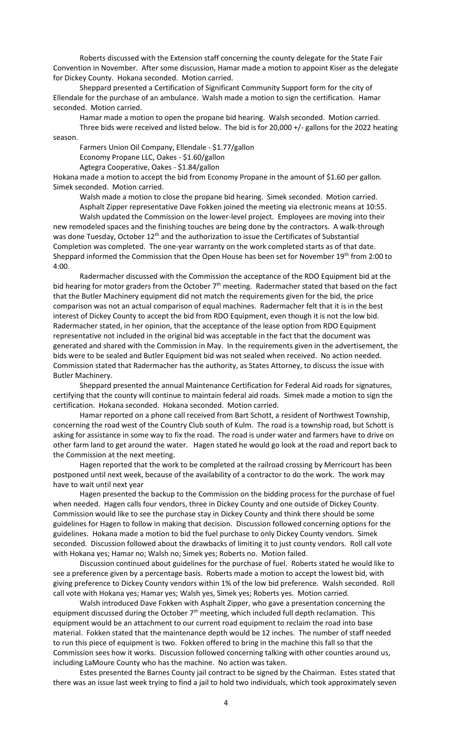Roberts discussed with the Extension staff concerning the county delegate for the State Fair Convention in November. After some discussion, Hamar made a motion to appoint Kiser as the delegate for Dickey County. Hokana seconded. Motion carried.

Sheppard presented a Certification of Significant Community Support form for the city of Ellendale for the purchase of an ambulance. Walsh made a motion to sign the certification. Hamar seconded. Motion carried.

Hamar made a motion to open the propane bid hearing. Walsh seconded. Motion carried.

Three bids were received and listed below. The bid is for 20,000 +/- gallons for the 2022 heating season.

Farmers Union Oil Company, Ellendale - \$1.77/gallon

Economy Propane LLC, Oakes - \$1.60/gallon

Agtegra Cooperative, Oakes - \$1.84/gallon

Hokana made a motion to accept the bid from Economy Propane in the amount of \$1.60 per gallon. Simek seconded. Motion carried.

Walsh made a motion to close the propane bid hearing. Simek seconded. Motion carried. Asphalt Zipper representative Dave Fokken joined the meeting via electronic means at 10:55.

Walsh updated the Commission on the lower-level project. Employees are moving into their new remodeled spaces and the finishing touches are being done by the contractors. A walk-through was done Tuesday, October 12<sup>th</sup> and the authorization to issue the Certificates of Substantial Completion was completed. The one-year warranty on the work completed starts as of that date. Sheppard informed the Commission that the Open House has been set for November 19<sup>th</sup> from 2:00 to 4:00.

Radermacher discussed with the Commission the acceptance of the RDO Equipment bid at the bid hearing for motor graders from the October  $7<sup>th</sup>$  meeting. Radermacher stated that based on the fact that the Butler Machinery equipment did not match the requirements given for the bid, the price comparison was not an actual comparison of equal machines. Radermacher felt that it is in the best interest of Dickey County to accept the bid from RDO Equipment, even though it is not the low bid. Radermacher stated, in her opinion, that the acceptance of the lease option from RDO Equipment representative not included in the original bid was acceptable in the fact that the document was generated and shared with the Commission in May. In the requirements given in the advertisement, the bids were to be sealed and Butler Equipment bid was not sealed when received. No action needed. Commission stated that Radermacher has the authority, as States Attorney, to discuss the issue with Butler Machinery.

Sheppard presented the annual Maintenance Certification for Federal Aid roads for signatures, certifying that the county will continue to maintain federal aid roads. Simek made a motion to sign the certification. Hokana seconded. Hokana seconded. Motion carried.

Hamar reported on a phone call received from Bart Schott, a resident of Northwest Township, concerning the road west of the Country Club south of Kulm. The road is a township road, but Schott is asking for assistance in some way to fix the road. The road is under water and farmers have to drive on other farm land to get around the water. Hagen stated he would go look at the road and report back to the Commission at the next meeting.

Hagen reported that the work to be completed at the railroad crossing by Merricourt has been postponed until next week, because of the availability of a contractor to do the work. The work may have to wait until next year

Hagen presented the backup to the Commission on the bidding process for the purchase of fuel when needed. Hagen calls four vendors, three in Dickey County and one outside of Dickey County. Commission would like to see the purchase stay in Dickey County and think there should be some guidelines for Hagen to follow in making that decision. Discussion followed concerning options for the guidelines. Hokana made a motion to bid the fuel purchase to only Dickey County vendors. Simek seconded. Discussion followed about the drawbacks of limiting it to just county vendors. Roll call vote with Hokana yes; Hamar no; Walsh no; Simek yes; Roberts no. Motion failed.

Discussion continued about guidelines for the purchase of fuel. Roberts stated he would like to see a preference given by a percentage basis. Roberts made a motion to accept the lowest bid, with giving preference to Dickey County vendors within 1% of the low bid preference. Walsh seconded. Roll call vote with Hokana yes; Hamar yes; Walsh yes, Simek yes; Roberts yes. Motion carried.

Walsh introduced Dave Fokken with Asphalt Zipper, who gave a presentation concerning the equipment discussed during the October 7<sup>th</sup> meeting, which included full depth reclamation. This equipment would be an attachment to our current road equipment to reclaim the road into base material. Fokken stated that the maintenance depth would be 12 inches. The number of staff needed to run this piece of equipment is two. Fokken offered to bring in the machine this fall so that the Commission sees how it works. Discussion followed concerning talking with other counties around us, including LaMoure County who has the machine. No action was taken.

Estes presented the Barnes County jail contract to be signed by the Chairman. Estes stated that there was an issue last week trying to find a jail to hold two individuals, which took approximately seven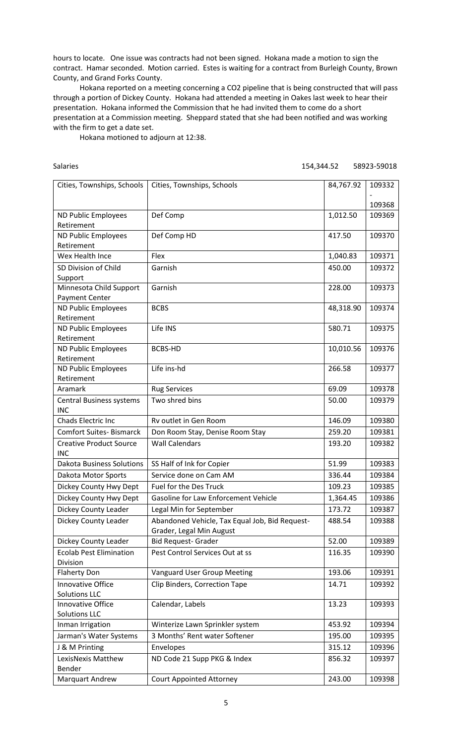hours to locate. One issue was contracts had not been signed. Hokana made a motion to sign the contract. Hamar seconded. Motion carried. Estes is waiting for a contract from Burleigh County, Brown County, and Grand Forks County.

Hokana reported on a meeting concerning a CO2 pipeline that is being constructed that will pass through a portion of Dickey County. Hokana had attended a meeting in Oakes last week to hear their presentation. Hokana informed the Commission that he had invited them to come do a short presentation at a Commission meeting. Sheppard stated that she had been notified and was working with the firm to get a date set.

Hokana motioned to adjourn at 12:38.

Salaries 154,344.52 58923-59018

| Cities, Townships, Schools                    | Cities, Townships, Schools                     | 84,767.92 | 109332 |
|-----------------------------------------------|------------------------------------------------|-----------|--------|
|                                               |                                                |           |        |
|                                               |                                                |           | 109368 |
| ND Public Employees<br>Retirement             | Def Comp                                       | 1,012.50  | 109369 |
| ND Public Employees                           | Def Comp HD                                    | 417.50    | 109370 |
| Retirement                                    |                                                |           |        |
| Wex Health Ince                               | Flex                                           | 1,040.83  | 109371 |
| SD Division of Child                          | Garnish                                        | 450.00    | 109372 |
| Support                                       |                                                |           |        |
| Minnesota Child Support                       | Garnish                                        | 228.00    | 109373 |
| <b>Payment Center</b>                         |                                                |           |        |
| ND Public Employees                           | <b>BCBS</b>                                    | 48,318.90 | 109374 |
| Retirement                                    |                                                |           |        |
| ND Public Employees                           | Life INS                                       | 580.71    | 109375 |
| Retirement                                    |                                                |           |        |
| ND Public Employees                           | <b>BCBS-HD</b>                                 | 10,010.56 | 109376 |
| Retirement                                    |                                                |           |        |
| ND Public Employees                           | Life ins-hd                                    | 266.58    | 109377 |
| Retirement                                    |                                                |           |        |
| Aramark                                       | <b>Rug Services</b>                            | 69.09     | 109378 |
| <b>Central Business systems</b><br><b>INC</b> | Two shred bins                                 | 50.00     | 109379 |
| Chads Electric Inc                            | Rv outlet in Gen Room                          | 146.09    | 109380 |
| <b>Comfort Suites-Bismarck</b>                | Don Room Stay, Denise Room Stay                | 259.20    | 109381 |
| <b>Creative Product Source</b>                | <b>Wall Calendars</b>                          | 193.20    | 109382 |
| <b>INC</b>                                    |                                                |           |        |
| <b>Dakota Business Solutions</b>              | SS Half of Ink for Copier                      | 51.99     | 109383 |
| Dakota Motor Sports                           | Service done on Cam AM                         | 336.44    | 109384 |
| Dickey County Hwy Dept                        | <b>Fuel for the Des Truck</b>                  | 109.23    | 109385 |
| Dickey County Hwy Dept                        | Gasoline for Law Enforcement Vehicle           | 1,364.45  | 109386 |
| Dickey County Leader                          | Legal Min for September                        | 173.72    | 109387 |
| Dickey County Leader                          | Abandoned Vehicle, Tax Equal Job, Bid Request- | 488.54    | 109388 |
|                                               | Grader, Legal Min August                       |           |        |
| Dickey County Leader                          | <b>Bid Request- Grader</b>                     | 52.00     | 109389 |
| <b>Ecolab Pest Elimination</b>                | Pest Control Services Out at ss                | 116.35    | 109390 |
| Division                                      |                                                |           |        |
| <b>Flaherty Don</b>                           | <b>Vanguard User Group Meeting</b>             | 193.06    | 109391 |
| Innovative Office                             | Clip Binders, Correction Tape                  | 14.71     | 109392 |
| <b>Solutions LLC</b>                          |                                                |           |        |
| Innovative Office                             | Calendar, Labels                               | 13.23     | 109393 |
| <b>Solutions LLC</b>                          |                                                |           |        |
| Inman Irrigation                              | Winterize Lawn Sprinkler system                | 453.92    | 109394 |
| Jarman's Water Systems                        | 3 Months' Rent water Softener                  | 195.00    | 109395 |
| J & M Printing                                | Envelopes                                      | 315.12    | 109396 |
| LexisNexis Matthew<br>Bender                  | ND Code 21 Supp PKG & Index                    | 856.32    | 109397 |
| <b>Marquart Andrew</b>                        | <b>Court Appointed Attorney</b>                | 243.00    | 109398 |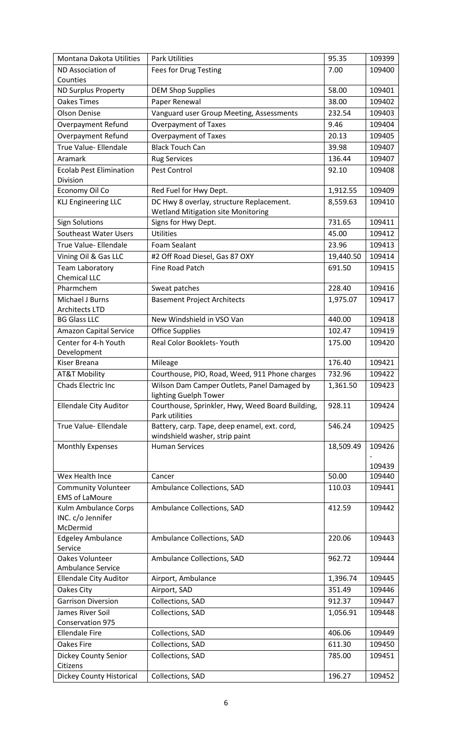| Montana Dakota Utilities             | <b>Park Utilities</b>                            | 95.35     | 109399 |
|--------------------------------------|--------------------------------------------------|-----------|--------|
| ND Association of                    | Fees for Drug Testing                            | 7.00      | 109400 |
| Counties                             |                                                  |           |        |
| <b>ND Surplus Property</b>           | <b>DEM Shop Supplies</b>                         | 58.00     | 109401 |
| <b>Oakes Times</b>                   | Paper Renewal                                    | 38.00     | 109402 |
| <b>Olson Denise</b>                  | Vanguard user Group Meeting, Assessments         | 232.54    | 109403 |
| Overpayment Refund                   | <b>Overpayment of Taxes</b>                      | 9.46      | 109404 |
| <b>Overpayment Refund</b>            | <b>Overpayment of Taxes</b>                      | 20.13     | 109405 |
| True Value- Ellendale                | <b>Black Touch Can</b>                           | 39.98     | 109407 |
| Aramark                              | <b>Rug Services</b>                              | 136.44    | 109407 |
| <b>Ecolab Pest Elimination</b>       | Pest Control                                     | 92.10     | 109408 |
| Division                             |                                                  |           |        |
| Economy Oil Co                       | Red Fuel for Hwy Dept.                           | 1,912.55  | 109409 |
| <b>KLJ Engineering LLC</b>           | DC Hwy 8 overlay, structure Replacement.         | 8,559.63  | 109410 |
|                                      | <b>Wetland Mitigation site Monitoring</b>        |           |        |
| <b>Sign Solutions</b>                | Signs for Hwy Dept.                              | 731.65    | 109411 |
| Southeast Water Users                | <b>Utilities</b>                                 | 45.00     | 109412 |
| True Value- Ellendale                | Foam Sealant                                     | 23.96     | 109413 |
| Vining Oil & Gas LLC                 | #2 Off Road Diesel, Gas 87 OXY                   | 19,440.50 | 109414 |
| <b>Team Laboratory</b>               | Fine Road Patch                                  | 691.50    | 109415 |
| Chemical LLC                         |                                                  |           |        |
| Pharmchem                            | Sweat patches                                    | 228.40    | 109416 |
| Michael J Burns                      | <b>Basement Project Architects</b>               | 1,975.07  | 109417 |
| <b>Architects LTD</b>                |                                                  |           |        |
| <b>BG Glass LLC</b>                  | New Windshield in VSO Van                        | 440.00    | 109418 |
| <b>Amazon Capital Service</b>        | <b>Office Supplies</b>                           | 102.47    | 109419 |
| Center for 4-h Youth<br>Development  | Real Color Booklets-Youth                        | 175.00    | 109420 |
| Kiser Breana                         | Mileage                                          | 176.40    | 109421 |
| <b>AT&amp;T Mobility</b>             | Courthouse, PIO, Road, Weed, 911 Phone charges   | 732.96    | 109422 |
| Chads Electric Inc                   | Wilson Dam Camper Outlets, Panel Damaged by      | 1,361.50  | 109423 |
|                                      | lighting Guelph Tower                            |           |        |
| <b>Ellendale City Auditor</b>        | Courthouse, Sprinkler, Hwy, Weed Board Building, | 928.11    | 109424 |
|                                      | Park utilities                                   |           |        |
| True Value- Ellendale                | Battery, carp. Tape, deep enamel, ext. cord,     | 546.24    | 109425 |
|                                      | windshield washer, strip paint                   |           |        |
| Monthly Expenses                     | <b>Human Services</b>                            | 18,509.49 | 109426 |
|                                      |                                                  |           | 109439 |
| Wex Health Ince                      | Cancer                                           | 50.00     | 109440 |
| <b>Community Volunteer</b>           | Ambulance Collections, SAD                       | 110.03    | 109441 |
| <b>EMS of LaMoure</b>                |                                                  |           |        |
| Kulm Ambulance Corps                 | Ambulance Collections, SAD                       | 412.59    | 109442 |
| INC. c/o Jennifer                    |                                                  |           |        |
| McDermid                             |                                                  |           |        |
| <b>Edgeley Ambulance</b>             | Ambulance Collections, SAD                       | 220.06    | 109443 |
| Service                              |                                                  |           |        |
| Oakes Volunteer<br>Ambulance Service | Ambulance Collections, SAD                       | 962.72    | 109444 |
| <b>Ellendale City Auditor</b>        | Airport, Ambulance                               | 1,396.74  | 109445 |
| Oakes City                           | Airport, SAD                                     | 351.49    | 109446 |
| <b>Garrison Diversion</b>            | Collections, SAD                                 | 912.37    | 109447 |
| James River Soil                     |                                                  |           |        |
| Conservation 975                     | Collections, SAD                                 | 1,056.91  | 109448 |
| <b>Ellendale Fire</b>                | Collections, SAD                                 | 406.06    | 109449 |
| <b>Oakes Fire</b>                    | Collections, SAD                                 | 611.30    | 109450 |
| Dickey County Senior                 | Collections, SAD                                 | 785.00    | 109451 |
| Citizens                             |                                                  |           |        |
| Dickey County Historical             | Collections, SAD                                 | 196.27    | 109452 |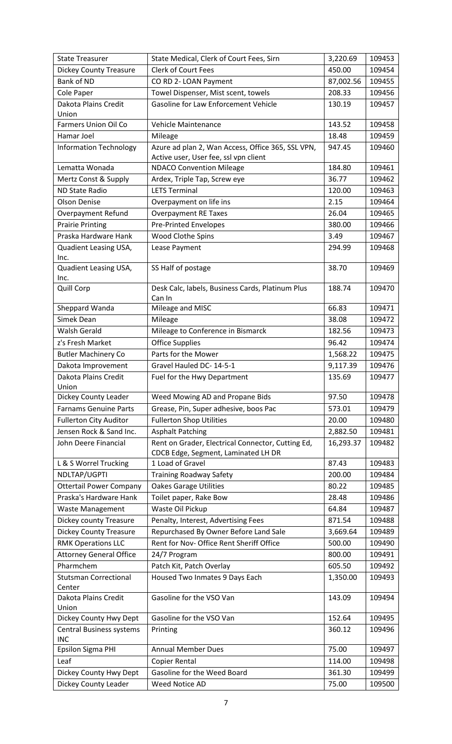| <b>State Treasurer</b>          | State Medical, Clerk of Court Fees, Sirn                    | 3,220.69        | 109453           |
|---------------------------------|-------------------------------------------------------------|-----------------|------------------|
| <b>Dickey County Treasure</b>   | <b>Clerk of Court Fees</b>                                  | 450.00          | 109454           |
| <b>Bank of ND</b>               | CO RD 2- LOAN Payment                                       | 87,002.56       | 109455           |
| Cole Paper                      | Towel Dispenser, Mist scent, towels                         | 208.33          | 109456           |
| Dakota Plains Credit            | Gasoline for Law Enforcement Vehicle                        | 130.19          | 109457           |
| Union                           |                                                             |                 |                  |
| <b>Farmers Union Oil Co</b>     | Vehicle Maintenance                                         | 143.52          | 109458           |
| Hamar Joel                      | Mileage                                                     | 18.48           | 109459           |
| <b>Information Technology</b>   | Azure ad plan 2, Wan Access, Office 365, SSL VPN,           | 947.45          | 109460           |
|                                 | Active user, User fee, ssl vpn client                       |                 |                  |
| Lematta Wonada                  | <b>NDACO Convention Mileage</b>                             | 184.80          | 109461           |
| Mertz Const & Supply            | Ardex, Triple Tap, Screw eye                                | 36.77           | 109462           |
| <b>ND State Radio</b>           | <b>LETS Terminal</b>                                        | 120.00          | 109463           |
| <b>Olson Denise</b>             | Overpayment on life ins                                     | 2.15            | 109464           |
| <b>Overpayment Refund</b>       | <b>Overpayment RE Taxes</b>                                 | 26.04           | 109465           |
| <b>Prairie Printing</b>         | <b>Pre-Printed Envelopes</b>                                | 380.00          | 109466           |
| Praska Hardware Hank            | Wood Clothe Spins                                           | 3.49            | 109467           |
| Quadient Leasing USA,<br>Inc.   | Lease Payment                                               | 294.99          | 109468           |
| Quadient Leasing USA,           | SS Half of postage                                          | 38.70           | 109469           |
| Inc.                            |                                                             |                 |                  |
| Quill Corp                      | Desk Calc, labels, Business Cards, Platinum Plus            | 188.74          | 109470           |
|                                 | Can In                                                      | 66.83           | 109471           |
| Sheppard Wanda                  | Mileage and MISC                                            |                 |                  |
| Simek Dean                      | Mileage                                                     | 38.08           | 109472           |
| <b>Walsh Gerald</b>             | Mileage to Conference in Bismarck<br><b>Office Supplies</b> | 182.56<br>96.42 | 109473<br>109474 |
| z's Fresh Market                |                                                             |                 |                  |
| <b>Butler Machinery Co</b>      | Parts for the Mower                                         | 1,568.22        | 109475           |
| Dakota Improvement              | Gravel Hauled DC- 14-5-1                                    | 9,117.39        | 109476           |
| Dakota Plains Credit<br>Union   | Fuel for the Hwy Department                                 | 135.69          | 109477           |
| Dickey County Leader            | Weed Mowing AD and Propane Bids                             | 97.50           | 109478           |
| <b>Farnams Genuine Parts</b>    | Grease, Pin, Super adhesive, boos Pac                       | 573.01          | 109479           |
| <b>Fullerton City Auditor</b>   | <b>Fullerton Shop Utilities</b>                             | 20.00           | 109480           |
| Jensen Rock & Sand Inc.         | <b>Asphalt Patching</b>                                     | 2,882.50        | 109481           |
| John Deere Financial            | Rent on Grader, Electrical Connector, Cutting Ed,           | 16,293.37       | 109482           |
|                                 | CDCB Edge, Segment, Laminated LH DR                         |                 |                  |
| L & S Worrel Trucking           | 1 Load of Gravel                                            | 87.43           | 109483           |
| NDLTAP/UGPTI                    | <b>Training Roadway Safety</b>                              | 200.00          | 109484           |
| <b>Ottertail Power Company</b>  | <b>Oakes Garage Utilities</b>                               | 80.22           | 109485           |
| Praska's Hardware Hank          | Toilet paper, Rake Bow                                      | 28.48           | 109486           |
| <b>Waste Management</b>         | Waste Oil Pickup                                            | 64.84           | 109487           |
| Dickey county Treasure          | Penalty, Interest, Advertising Fees                         | 871.54          | 109488           |
| <b>Dickey County Treasure</b>   | Repurchased By Owner Before Land Sale                       | 3,669.64        | 109489           |
| <b>RMK Operations LLC</b>       | Rent for Nov- Office Rent Sheriff Office                    | 500.00          | 109490           |
| <b>Attorney General Office</b>  | 24/7 Program                                                | 800.00          | 109491           |
| Pharmchem                       | Patch Kit, Patch Overlay                                    | 605.50          | 109492           |
| <b>Stutsman Correctional</b>    | Housed Two Inmates 9 Days Each                              | 1,350.00        | 109493           |
| Center                          |                                                             |                 |                  |
| Dakota Plains Credit<br>Union   | Gasoline for the VSO Van                                    | 143.09          | 109494           |
| Dickey County Hwy Dept          | Gasoline for the VSO Van                                    | 152.64          | 109495           |
| <b>Central Business systems</b> | Printing                                                    | 360.12          | 109496           |
| <b>INC</b>                      |                                                             |                 |                  |
| Epsilon Sigma PHI               | <b>Annual Member Dues</b>                                   | 75.00           | 109497           |
| Leaf                            | Copier Rental                                               | 114.00          | 109498           |
| Dickey County Hwy Dept          | Gasoline for the Weed Board                                 | 361.30          | 109499           |
| Dickey County Leader            | Weed Notice AD                                              | 75.00           | 109500           |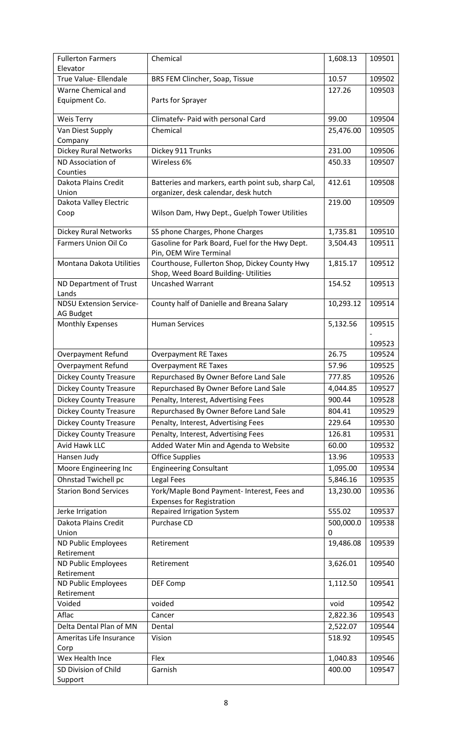| <b>Fullerton Farmers</b>       | Chemical                                           | 1,608.13  | 109501 |
|--------------------------------|----------------------------------------------------|-----------|--------|
| Elevator                       |                                                    |           |        |
| True Value- Ellendale          | BRS FEM Clincher, Soap, Tissue                     | 10.57     | 109502 |
| Warne Chemical and             |                                                    | 127.26    | 109503 |
| Equipment Co.                  | Parts for Sprayer                                  |           |        |
|                                |                                                    |           |        |
| <b>Weis Terry</b>              | Climatefv- Paid with personal Card                 | 99.00     | 109504 |
| Van Diest Supply               | Chemical                                           | 25,476.00 | 109505 |
| Company                        |                                                    |           |        |
| <b>Dickey Rural Networks</b>   | Dickey 911 Trunks                                  | 231.00    | 109506 |
| ND Association of              | Wireless 6%                                        | 450.33    | 109507 |
| Counties                       |                                                    |           |        |
| Dakota Plains Credit           | Batteries and markers, earth point sub, sharp Cal, | 412.61    | 109508 |
| Union                          | organizer, desk calendar, desk hutch               |           |        |
| Dakota Valley Electric         |                                                    | 219.00    | 109509 |
| Coop                           | Wilson Dam, Hwy Dept., Guelph Tower Utilities      |           |        |
|                                |                                                    |           |        |
| <b>Dickey Rural Networks</b>   | SS phone Charges, Phone Charges                    | 1,735.81  | 109510 |
| <b>Farmers Union Oil Co</b>    | Gasoline for Park Board, Fuel for the Hwy Dept.    | 3,504.43  | 109511 |
|                                | Pin, OEM Wire Terminal                             |           |        |
| Montana Dakota Utilities       | Courthouse, Fullerton Shop, Dickey County Hwy      | 1,815.17  | 109512 |
|                                | Shop, Weed Board Building- Utilities               |           |        |
| ND Department of Trust         | <b>Uncashed Warrant</b>                            | 154.52    | 109513 |
| Lands                          |                                                    |           |        |
| <b>NDSU Extension Service-</b> | County half of Danielle and Breana Salary          | 10,293.12 | 109514 |
| <b>AG Budget</b>               |                                                    |           |        |
| <b>Monthly Expenses</b>        | <b>Human Services</b>                              | 5,132.56  | 109515 |
|                                |                                                    |           |        |
|                                |                                                    |           | 109523 |
| Overpayment Refund             | <b>Overpayment RE Taxes</b>                        | 26.75     | 109524 |
| Overpayment Refund             | <b>Overpayment RE Taxes</b>                        | 57.96     | 109525 |
| <b>Dickey County Treasure</b>  | Repurchased By Owner Before Land Sale              | 777.85    | 109526 |
| <b>Dickey County Treasure</b>  | Repurchased By Owner Before Land Sale              | 4,044.85  | 109527 |
| <b>Dickey County Treasure</b>  | Penalty, Interest, Advertising Fees                | 900.44    | 109528 |
| <b>Dickey County Treasure</b>  | Repurchased By Owner Before Land Sale              | 804.41    | 109529 |
| <b>Dickey County Treasure</b>  | Penalty, Interest, Advertising Fees                | 229.64    | 109530 |
|                                |                                                    |           |        |
| <b>Dickey County Treasure</b>  | Penalty, Interest, Advertising Fees                | 126.81    | 109531 |
| <b>Avid Hawk LLC</b>           | Added Water Min and Agenda to Website              | 60.00     | 109532 |
| Hansen Judy                    | <b>Office Supplies</b>                             | 13.96     | 109533 |
| Moore Engineering Inc          | <b>Engineering Consultant</b>                      | 1,095.00  | 109534 |
| Ohnstad Twichell pc            | <b>Legal Fees</b>                                  | 5,846.16  | 109535 |
| <b>Starion Bond Services</b>   | York/Maple Bond Payment- Interest, Fees and        | 13,230.00 | 109536 |
|                                | <b>Expenses for Registration</b>                   |           |        |
| Jerke Irrigation               | <b>Repaired Irrigation System</b>                  | 555.02    | 109537 |
| Dakota Plains Credit           | Purchase CD                                        | 500,000.0 | 109538 |
| Union                          |                                                    | 0         |        |
| ND Public Employees            | Retirement                                         | 19,486.08 | 109539 |
| Retirement                     |                                                    |           |        |
| ND Public Employees            | Retirement                                         | 3,626.01  | 109540 |
| Retirement                     |                                                    |           |        |
| ND Public Employees            | DEF Comp                                           | 1,112.50  | 109541 |
| Retirement                     |                                                    |           |        |
| Voided                         | voided                                             | void      | 109542 |
| Aflac                          | Cancer                                             | 2,822.36  | 109543 |
| Delta Dental Plan of MN        | Dental                                             | 2,522.07  | 109544 |
| Ameritas Life Insurance        | Vision                                             | 518.92    | 109545 |
| Corp                           |                                                    |           |        |
| Wex Health Ince                | Flex                                               | 1,040.83  | 109546 |
| SD Division of Child           | Garnish                                            | 400.00    | 109547 |
| Support                        |                                                    |           |        |